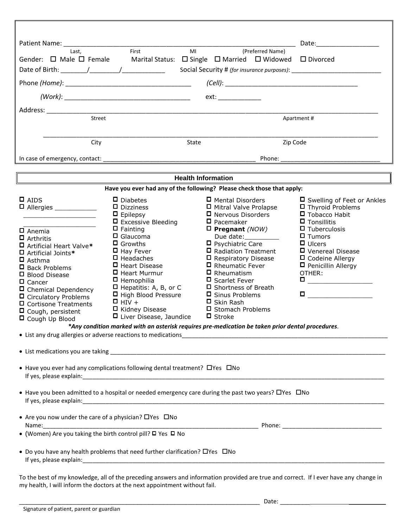|                                                                                                                                                                                                                                                                                                               |                                                                                                                                                                                                                                                                                                                                       |                                                                                                                                                                                                                                                                                                                                                                                | Date: the contract of the contract of the contract of the contract of the contract of the contract of the contract of the contract of the contract of the contract of the contract of the contract of the contract of the cont                        |  |  |
|---------------------------------------------------------------------------------------------------------------------------------------------------------------------------------------------------------------------------------------------------------------------------------------------------------------|---------------------------------------------------------------------------------------------------------------------------------------------------------------------------------------------------------------------------------------------------------------------------------------------------------------------------------------|--------------------------------------------------------------------------------------------------------------------------------------------------------------------------------------------------------------------------------------------------------------------------------------------------------------------------------------------------------------------------------|-------------------------------------------------------------------------------------------------------------------------------------------------------------------------------------------------------------------------------------------------------|--|--|
| Last.<br>Gender: $\Box$ Male $\Box$ Female                                                                                                                                                                                                                                                                    | First<br>MI                                                                                                                                                                                                                                                                                                                           | (Preferred Name)<br>Marital Status: $\Box$ Single $\Box$ Married $\Box$ Widowed $\Box$ Divorced                                                                                                                                                                                                                                                                                |                                                                                                                                                                                                                                                       |  |  |
|                                                                                                                                                                                                                                                                                                               |                                                                                                                                                                                                                                                                                                                                       |                                                                                                                                                                                                                                                                                                                                                                                |                                                                                                                                                                                                                                                       |  |  |
|                                                                                                                                                                                                                                                                                                               |                                                                                                                                                                                                                                                                                                                                       |                                                                                                                                                                                                                                                                                                                                                                                |                                                                                                                                                                                                                                                       |  |  |
|                                                                                                                                                                                                                                                                                                               |                                                                                                                                                                                                                                                                                                                                       | ext: the contract of the contract of the contract of the contract of the contract of the contract of the contract of the contract of the contract of the contract of the contract of the contract of the contract of the contr                                                                                                                                                 |                                                                                                                                                                                                                                                       |  |  |
| Street                                                                                                                                                                                                                                                                                                        |                                                                                                                                                                                                                                                                                                                                       |                                                                                                                                                                                                                                                                                                                                                                                |                                                                                                                                                                                                                                                       |  |  |
|                                                                                                                                                                                                                                                                                                               | Apartment#                                                                                                                                                                                                                                                                                                                            |                                                                                                                                                                                                                                                                                                                                                                                |                                                                                                                                                                                                                                                       |  |  |
| City                                                                                                                                                                                                                                                                                                          | State                                                                                                                                                                                                                                                                                                                                 |                                                                                                                                                                                                                                                                                                                                                                                | Zip Code                                                                                                                                                                                                                                              |  |  |
|                                                                                                                                                                                                                                                                                                               |                                                                                                                                                                                                                                                                                                                                       |                                                                                                                                                                                                                                                                                                                                                                                |                                                                                                                                                                                                                                                       |  |  |
|                                                                                                                                                                                                                                                                                                               |                                                                                                                                                                                                                                                                                                                                       |                                                                                                                                                                                                                                                                                                                                                                                |                                                                                                                                                                                                                                                       |  |  |
|                                                                                                                                                                                                                                                                                                               |                                                                                                                                                                                                                                                                                                                                       | <b>Health Information</b>                                                                                                                                                                                                                                                                                                                                                      |                                                                                                                                                                                                                                                       |  |  |
|                                                                                                                                                                                                                                                                                                               | Have you ever had any of the following? Please check those that apply:                                                                                                                                                                                                                                                                |                                                                                                                                                                                                                                                                                                                                                                                |                                                                                                                                                                                                                                                       |  |  |
| $\Box$ AIDS<br>$\Box$ Anemia<br>$\Box$ Arthritis<br>□ Artificial Heart Valve*<br>$\Box$ Artificial Joints*<br>$\Box$ Asthma<br>$\Box$ Back Problems<br>□ Blood Disease<br>$\square$ Cancer<br>□ Chemical Dependency<br>$\Box$ Circulatory Problems<br>$\Box$ Cortisone Treatments<br>$\Box$ Cough, persistent | $\Box$ Diabetes<br>$\Box$ Dizziness<br>$\Box$ Epilepsy<br>$\Box$ Excessive Bleeding<br>$\Box$ Fainting<br>$\Box$ Glaucoma<br>$\Box$ Growths<br>$\Box$ Hay Fever<br>$\Box$ Headaches<br>□ Heart Disease<br>□ Heart Murmur<br>$\Box$ Hemophilia<br>□ Hepatitis: A, B, or C<br>□ High Blood Pressure<br>$\Box$ HIV +<br>□ Kidney Disease | $\Box$ Mental Disorders<br>□ Mitral Valve Prolapse<br>$\Box$ Nervous Disorders<br>$\Box$ Pacemaker<br>$\Box$ Pregnant (NOW)<br>Due date:<br>$\Box$ Psychiatric Care<br>□ Radiation Treatment<br>□ Respiratory Disease<br>$\Box$ Rheumatic Fever<br>$\Box$ Rheumatism<br>□ Scarlet Fever<br>□ Shortness of Breath<br>□ Sinus Problems<br>$\Box$ Skin Rash<br>□ Stomach Problems | □ Swelling of Feet or Ankles<br>$\Box$ Thyroid Problems<br>□ Tobacco Habit<br>$\Box$ Tonsillitis<br>$\Box$ Tuberculosis<br>$\Box$ Tumors<br>$\Box$ Ulcers<br>□ Venereal Disease<br>□ Codeine Allergy<br>$\Box$ Penicillin Allergy<br>OTHER:<br>$\Box$ |  |  |
| □ Cough Up Blood                                                                                                                                                                                                                                                                                              | □ Liver Disease, Jaundice<br>*Any condition marked with an asterisk requires pre-medication be taken prior dental procedures.                                                                                                                                                                                                         | $\square$ Stroke                                                                                                                                                                                                                                                                                                                                                               |                                                                                                                                                                                                                                                       |  |  |
|                                                                                                                                                                                                                                                                                                               |                                                                                                                                                                                                                                                                                                                                       |                                                                                                                                                                                                                                                                                                                                                                                |                                                                                                                                                                                                                                                       |  |  |
|                                                                                                                                                                                                                                                                                                               |                                                                                                                                                                                                                                                                                                                                       |                                                                                                                                                                                                                                                                                                                                                                                |                                                                                                                                                                                                                                                       |  |  |
|                                                                                                                                                                                                                                                                                                               | • Have you ever had any complications following dental treatment? OYes ONo                                                                                                                                                                                                                                                            |                                                                                                                                                                                                                                                                                                                                                                                |                                                                                                                                                                                                                                                       |  |  |
|                                                                                                                                                                                                                                                                                                               | • Have you been admitted to a hospital or needed emergency care during the past two years? $\Box$ Yes $\Box$ No                                                                                                                                                                                                                       |                                                                                                                                                                                                                                                                                                                                                                                |                                                                                                                                                                                                                                                       |  |  |
| • Are you now under the care of a physician? $\Box$ Yes $\Box$ No                                                                                                                                                                                                                                             |                                                                                                                                                                                                                                                                                                                                       |                                                                                                                                                                                                                                                                                                                                                                                |                                                                                                                                                                                                                                                       |  |  |
| • (Women) Are you taking the birth control pill? □ Yes □ No                                                                                                                                                                                                                                                   |                                                                                                                                                                                                                                                                                                                                       |                                                                                                                                                                                                                                                                                                                                                                                |                                                                                                                                                                                                                                                       |  |  |
|                                                                                                                                                                                                                                                                                                               | • Do you have any health problems that need further clarification? O'Yes ONo<br>To the best of my knowledge, all of the preceding answers and information provided are true and correct. If Lever have any change in                                                                                                                  |                                                                                                                                                                                                                                                                                                                                                                                |                                                                                                                                                                                                                                                       |  |  |

To the best of my knowledge, all of the preceding answers and information provided are true and correct. If I ever have any change in my health, I will inform the doctors at the next appointment without fail.